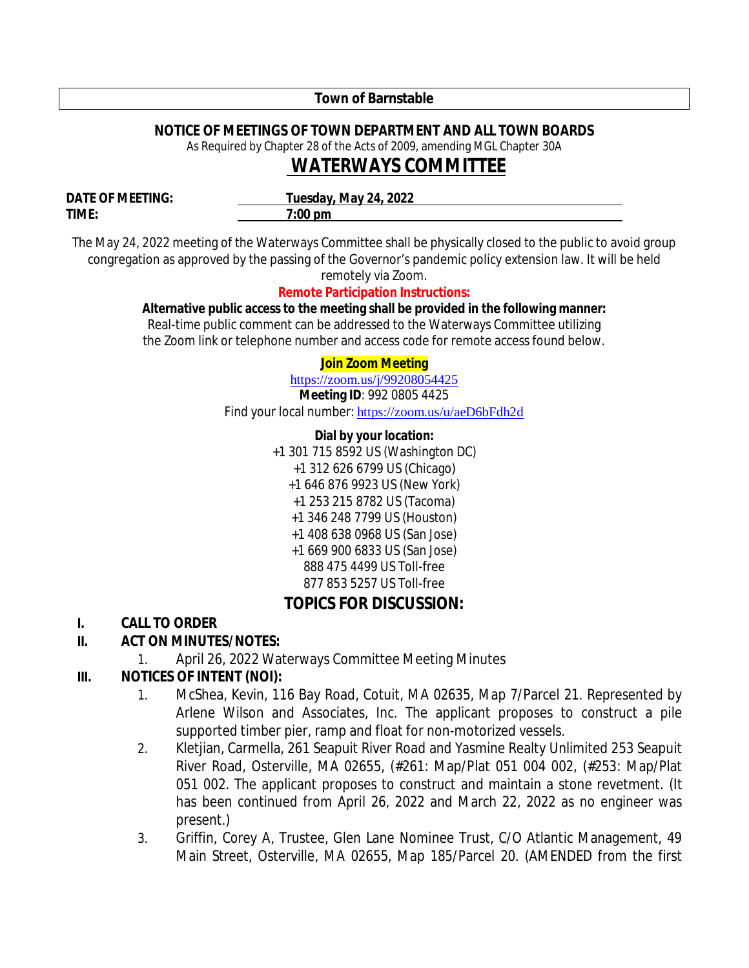### **Town of Barnstable**

## **NOTICE OF MEETINGS OF TOWN DEPARTMENT AND ALL TOWN BOARDS**

As Required by Chapter 28 of the Acts of 2009, amending MGL Chapter 30A

# *WATERWAYS* **COMMITTEE**

**TIME: 7:00 pm**

**DATE OF MEETING: Tuesday, May 24, 2022** 

The May 24, 2022 meeting of the Waterways Committee shall be physically closed to the public to avoid group congregation as approved by the passing of the Governor's pandemic policy extension law. It will be held remotely via Zoom.

### **Remote Participation Instructions:**

#### **Alternative public access to the meeting shall be provided in the following manner:**

Real-time public comment can be addressed to the Waterways Committee utilizing the Zoom link or telephone number and access code for remote access found below.

### **Join Zoom Meeting**

https://zoom.us/j/99208054425 **Meeting ID**: 992 0805 4425

Find your local number: https://zoom.us/u/aeD6bFdh2d

### **Dial by your location:**

+1 301 715 8592 US (Washington DC) +1 312 626 6799 US (Chicago) +1 646 876 9923 US (New York) +1 253 215 8782 US (Tacoma) +1 346 248 7799 US (Houston) +1 408 638 0968 US (San Jose) +1 669 900 6833 US (San Jose) 888 475 4499 US Toll-free 877 853 5257 US Toll-free **TOPICS FOR DISCUSSION:**

# **I. CALL TO ORDER**

# **II. ACT ON MINUTES/NOTES:**

1. April 26, 2022 Waterways Committee Meeting Minutes

# **III. NOTICES OF INTENT (NOI):**

- 1. McShea, Kevin, 116 Bay Road, Cotuit, MA 02635, Map 7/Parcel 21. Represented by Arlene Wilson and Associates, Inc. The applicant proposes to construct a pile supported timber pier, ramp and float for non-motorized vessels.
- 2. Kletjian, Carmella, 261 Seapuit River Road and Yasmine Realty Unlimited 253 Seapuit River Road, Osterville, MA 02655, (#261: Map/Plat 051 004 002, (#253: Map/Plat 051 002. The applicant proposes to construct and maintain a stone revetment. (It has been continued from April 26, 2022 and March 22, 2022 as no engineer was present.)
- 3. Griffin, Corey A, Trustee, Glen Lane Nominee Trust, C/O Atlantic Management, 49 Main Street, Osterville, MA 02655, Map 185/Parcel 20. (AMENDED from the first